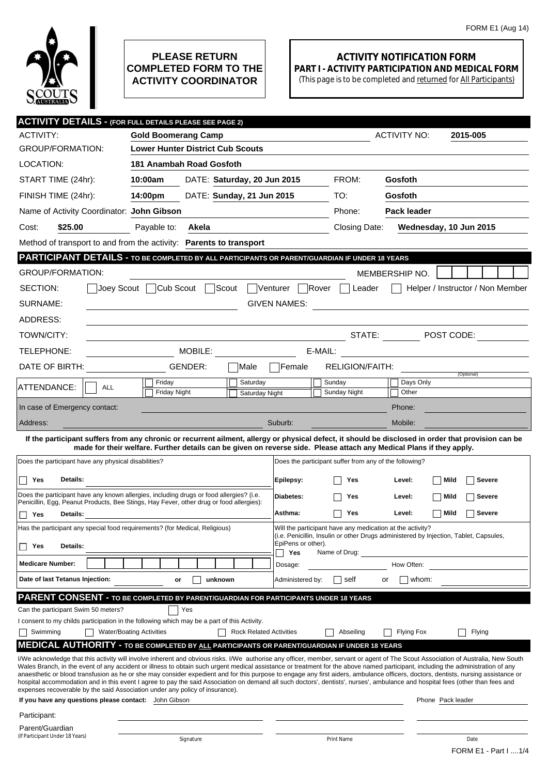

## **PLEASE RETURN COMPLETED FORM TO THE ACTIVITY COORDINATOR**

## **ACTIVITY NOTIFICATION FORM PART I - ACTIVITY PARTICIPATION AND MEDICAL FORM**

(This page is to be completed and returned for All Participants)

| <b>ACTIVITY DETAILS - (FOR FULL DETAILS PLEASE SEE PAGE 2)</b>                                                                                                                                                                                                                                                                                                                                                                                                                                                                                                                                                                                                                                                                                                                                                                                                                                                                                                                                                                                                                                                                                                                                                                                          |                                         |                       |                     |                |                                |                                                                                                                                                                                           |                                                        |                    |                        |                                                       |  |  |
|---------------------------------------------------------------------------------------------------------------------------------------------------------------------------------------------------------------------------------------------------------------------------------------------------------------------------------------------------------------------------------------------------------------------------------------------------------------------------------------------------------------------------------------------------------------------------------------------------------------------------------------------------------------------------------------------------------------------------------------------------------------------------------------------------------------------------------------------------------------------------------------------------------------------------------------------------------------------------------------------------------------------------------------------------------------------------------------------------------------------------------------------------------------------------------------------------------------------------------------------------------|-----------------------------------------|-----------------------|---------------------|----------------|--------------------------------|-------------------------------------------------------------------------------------------------------------------------------------------------------------------------------------------|--------------------------------------------------------|--------------------|------------------------|-------------------------------------------------------|--|--|
| <b>ACTIVITY:</b>                                                                                                                                                                                                                                                                                                                                                                                                                                                                                                                                                                                                                                                                                                                                                                                                                                                                                                                                                                                                                                                                                                                                                                                                                                        | <b>Gold Boomerang Camp</b>              |                       | <b>ACTIVITY NO:</b> |                | 2015-005                       |                                                                                                                                                                                           |                                                        |                    |                        |                                                       |  |  |
| <b>GROUP/FORMATION:</b>                                                                                                                                                                                                                                                                                                                                                                                                                                                                                                                                                                                                                                                                                                                                                                                                                                                                                                                                                                                                                                                                                                                                                                                                                                 | <b>Lower Hunter District Cub Scouts</b> |                       |                     |                |                                |                                                                                                                                                                                           |                                                        |                    |                        |                                                       |  |  |
| LOCATION:                                                                                                                                                                                                                                                                                                                                                                                                                                                                                                                                                                                                                                                                                                                                                                                                                                                                                                                                                                                                                                                                                                                                                                                                                                               | 181 Anambah Road Gosfoth                |                       |                     |                |                                |                                                                                                                                                                                           |                                                        |                    |                        |                                                       |  |  |
| START TIME (24hr):                                                                                                                                                                                                                                                                                                                                                                                                                                                                                                                                                                                                                                                                                                                                                                                                                                                                                                                                                                                                                                                                                                                                                                                                                                      | 10:00am                                 |                       |                     |                | DATE: Saturday, 20 Jun 2015    |                                                                                                                                                                                           | FROM:                                                  | Gosfoth            |                        |                                                       |  |  |
| FINISH TIME (24hr):                                                                                                                                                                                                                                                                                                                                                                                                                                                                                                                                                                                                                                                                                                                                                                                                                                                                                                                                                                                                                                                                                                                                                                                                                                     | 14:00pm                                 |                       |                     |                | DATE: Sunday, 21 Jun 2015      |                                                                                                                                                                                           | TO:                                                    | <b>Gosfoth</b>     |                        |                                                       |  |  |
| Name of Activity Coordinator: John Gibson                                                                                                                                                                                                                                                                                                                                                                                                                                                                                                                                                                                                                                                                                                                                                                                                                                                                                                                                                                                                                                                                                                                                                                                                               |                                         |                       |                     |                |                                |                                                                                                                                                                                           | Phone:                                                 | <b>Pack leader</b> |                        |                                                       |  |  |
| \$25.00<br>Cost:                                                                                                                                                                                                                                                                                                                                                                                                                                                                                                                                                                                                                                                                                                                                                                                                                                                                                                                                                                                                                                                                                                                                                                                                                                        | Payable to:                             | Akela                 |                     |                |                                |                                                                                                                                                                                           | Closing Date:                                          |                    | Wednesday, 10 Jun 2015 |                                                       |  |  |
| Method of transport to and from the activity: Parents to transport                                                                                                                                                                                                                                                                                                                                                                                                                                                                                                                                                                                                                                                                                                                                                                                                                                                                                                                                                                                                                                                                                                                                                                                      |                                         |                       |                     |                |                                |                                                                                                                                                                                           |                                                        |                    |                        |                                                       |  |  |
| PARTICIPANT DETAILS - TO BE COMPLETED BY ALL PARTICIPANTS OR PARENT/GUARDIAN IF UNDER 18 YEARS                                                                                                                                                                                                                                                                                                                                                                                                                                                                                                                                                                                                                                                                                                                                                                                                                                                                                                                                                                                                                                                                                                                                                          |                                         |                       |                     |                |                                |                                                                                                                                                                                           |                                                        |                    |                        |                                                       |  |  |
| <b>GROUP/FORMATION:</b>                                                                                                                                                                                                                                                                                                                                                                                                                                                                                                                                                                                                                                                                                                                                                                                                                                                                                                                                                                                                                                                                                                                                                                                                                                 |                                         |                       |                     |                |                                |                                                                                                                                                                                           |                                                        | MEMBERSHIP NO.     |                        |                                                       |  |  |
| SECTION:                                                                                                                                                                                                                                                                                                                                                                                                                                                                                                                                                                                                                                                                                                                                                                                                                                                                                                                                                                                                                                                                                                                                                                                                                                                | Joey Scout   Cub Scout                  |                       | Scout               |                | Venturer                       | Rover                                                                                                                                                                                     | Leader                                                 |                    |                        | Helper / Instructor / Non Member                      |  |  |
| SURNAME:                                                                                                                                                                                                                                                                                                                                                                                                                                                                                                                                                                                                                                                                                                                                                                                                                                                                                                                                                                                                                                                                                                                                                                                                                                                |                                         |                       |                     |                | <b>GIVEN NAMES:</b>            |                                                                                                                                                                                           |                                                        |                    |                        | <u> 1989 - Andrea Stadt, fransk politik (d. 1989)</u> |  |  |
| ADDRESS:                                                                                                                                                                                                                                                                                                                                                                                                                                                                                                                                                                                                                                                                                                                                                                                                                                                                                                                                                                                                                                                                                                                                                                                                                                                |                                         |                       |                     |                |                                |                                                                                                                                                                                           |                                                        |                    |                        |                                                       |  |  |
| TOWN/CITY:                                                                                                                                                                                                                                                                                                                                                                                                                                                                                                                                                                                                                                                                                                                                                                                                                                                                                                                                                                                                                                                                                                                                                                                                                                              |                                         |                       |                     |                |                                |                                                                                                                                                                                           | <b>STATE:</b> STATE:                                   |                    |                        | $\blacksquare$ POST CODE:                             |  |  |
| TELEPHONE:                                                                                                                                                                                                                                                                                                                                                                                                                                                                                                                                                                                                                                                                                                                                                                                                                                                                                                                                                                                                                                                                                                                                                                                                                                              |                                         | MOBILE: <b>MOBILE</b> |                     |                |                                | E-MAIL:                                                                                                                                                                                   |                                                        |                    |                        | <u> 1989 - John Stein, Amerikaansk politiker (</u>    |  |  |
| DATE OF BIRTH:                                                                                                                                                                                                                                                                                                                                                                                                                                                                                                                                                                                                                                                                                                                                                                                                                                                                                                                                                                                                                                                                                                                                                                                                                                          |                                         | GENDER:               |                     | lMale          | <b>Female</b>                  |                                                                                                                                                                                           | <b>RELIGION/FAITH:</b>                                 |                    |                        |                                                       |  |  |
|                                                                                                                                                                                                                                                                                                                                                                                                                                                                                                                                                                                                                                                                                                                                                                                                                                                                                                                                                                                                                                                                                                                                                                                                                                                         | Friday                                  |                       |                     | Saturday       |                                |                                                                                                                                                                                           | Sunday                                                 | Days Only          |                        | (Optional)                                            |  |  |
| ATTENDANCE:<br><b>ALL</b>                                                                                                                                                                                                                                                                                                                                                                                                                                                                                                                                                                                                                                                                                                                                                                                                                                                                                                                                                                                                                                                                                                                                                                                                                               | <b>Friday Night</b>                     |                       |                     | Saturday Night |                                |                                                                                                                                                                                           | Sunday Night                                           | Other              |                        |                                                       |  |  |
| In case of Emergency contact:                                                                                                                                                                                                                                                                                                                                                                                                                                                                                                                                                                                                                                                                                                                                                                                                                                                                                                                                                                                                                                                                                                                                                                                                                           |                                         |                       |                     |                |                                |                                                                                                                                                                                           |                                                        | Phone:             |                        |                                                       |  |  |
| Address:                                                                                                                                                                                                                                                                                                                                                                                                                                                                                                                                                                                                                                                                                                                                                                                                                                                                                                                                                                                                                                                                                                                                                                                                                                                |                                         |                       |                     |                | Suburb:                        |                                                                                                                                                                                           |                                                        | Mobile:            |                        |                                                       |  |  |
| If the participant suffers from any chronic or recurrent ailment, allergy or physical defect, it should be disclosed in order that provision can be<br>made for their welfare. Further details can be given on reverse side. Please attach any Medical Plans if they apply.<br>Does the participant have any physical disabilities?                                                                                                                                                                                                                                                                                                                                                                                                                                                                                                                                                                                                                                                                                                                                                                                                                                                                                                                     |                                         |                       |                     |                |                                |                                                                                                                                                                                           | Does the participant suffer from any of the following? |                    |                        |                                                       |  |  |
| Details:                                                                                                                                                                                                                                                                                                                                                                                                                                                                                                                                                                                                                                                                                                                                                                                                                                                                                                                                                                                                                                                                                                                                                                                                                                                |                                         |                       |                     |                |                                |                                                                                                                                                                                           |                                                        |                    |                        | <b>Severe</b>                                         |  |  |
| Yes                                                                                                                                                                                                                                                                                                                                                                                                                                                                                                                                                                                                                                                                                                                                                                                                                                                                                                                                                                                                                                                                                                                                                                                                                                                     |                                         |                       |                     |                | Epilepsy:                      |                                                                                                                                                                                           | Yes                                                    | Level:             | Mild                   |                                                       |  |  |
| Does the participant have any known allergies, including drugs or food allergies? (i.e.<br>Penicillin, Egg, Peanut Products, Bee Stings, Hay Fever, other drug or food allergies):                                                                                                                                                                                                                                                                                                                                                                                                                                                                                                                                                                                                                                                                                                                                                                                                                                                                                                                                                                                                                                                                      |                                         |                       |                     |                | Diabetes:                      |                                                                                                                                                                                           | Yes                                                    | Level:             | Mild                   | <b>Severe</b>                                         |  |  |
| Details:<br>Yes                                                                                                                                                                                                                                                                                                                                                                                                                                                                                                                                                                                                                                                                                                                                                                                                                                                                                                                                                                                                                                                                                                                                                                                                                                         |                                         |                       |                     |                | Asthma:                        |                                                                                                                                                                                           | Yes                                                    | Level:             | <b>Mild</b>            | <b>Severe</b>                                         |  |  |
| Has the participant any special food requirements? (for Medical, Religious)<br>Details:<br>Yes                                                                                                                                                                                                                                                                                                                                                                                                                                                                                                                                                                                                                                                                                                                                                                                                                                                                                                                                                                                                                                                                                                                                                          |                                         |                       |                     |                |                                | Will the participant have any medication at the activity?<br>(i.e. Penicillin, Insulin or other Drugs administered by Injection, Tablet, Capsules,<br>EpiPens or other).<br>Name of Drug: |                                                        |                    |                        |                                                       |  |  |
| <b>Medicare Number:</b>                                                                                                                                                                                                                                                                                                                                                                                                                                                                                                                                                                                                                                                                                                                                                                                                                                                                                                                                                                                                                                                                                                                                                                                                                                 |                                         |                       |                     |                | Yes<br>Dosage:                 |                                                                                                                                                                                           |                                                        | How Often:         |                        |                                                       |  |  |
| Date of last Tetanus Injection:                                                                                                                                                                                                                                                                                                                                                                                                                                                                                                                                                                                                                                                                                                                                                                                                                                                                                                                                                                                                                                                                                                                                                                                                                         | or                                      |                       | unknown             |                | Administered by:               |                                                                                                                                                                                           | self                                                   | whom:<br>or        |                        |                                                       |  |  |
| PARENT CONSENT - TO BE COMPLETED BY PARENT/GUARDIAN FOR PARTICIPANTS UNDER 18 YEARS<br>Can the participant Swim 50 meters?<br>I consent to my childs participation in the following which may be a part of this Activity.<br>Swimming<br><b>MEDICAL AUTHORITY - TO BE COMPLETED BY ALL PARTICIPANTS OR PARENT/GUARDIAN IF UNDER 18 YEARS</b><br>I/We acknowledge that this activity will involve inherent and obvious risks. I/We authorise any officer, member, servant or agent of The Scout Association of Australia, New South<br>Wales Branch, in the event of any accident or illness to obtain such urgent medical assistance or treatment for the above named participant, including the administration of any<br>anaesthetic or blood transfusion as he or she may consider expedient and for this purpose to engage any first aiders, ambulance officers, doctors, dentists, nursing assistance or<br>hospital accommodation and in this event I agree to pay the said Association on demand all such doctors', dentists', nurses', ambulance and hospital fees (other than fees and<br>expenses recoverable by the said Association under any policy of insurance).<br>If you have any questions please contact: John Gibson<br>Participant: | <b>Water/Boating Activities</b>         | Yes                   |                     |                | <b>Rock Related Activities</b> |                                                                                                                                                                                           | Abseiling                                              | <b>Flying Fox</b>  | Phone Pack leader      | Flying                                                |  |  |
| Parent/Guardian                                                                                                                                                                                                                                                                                                                                                                                                                                                                                                                                                                                                                                                                                                                                                                                                                                                                                                                                                                                                                                                                                                                                                                                                                                         |                                         |                       |                     |                |                                |                                                                                                                                                                                           |                                                        |                    |                        |                                                       |  |  |
| (If Participant Under 18 Years)                                                                                                                                                                                                                                                                                                                                                                                                                                                                                                                                                                                                                                                                                                                                                                                                                                                                                                                                                                                                                                                                                                                                                                                                                         | Signature                               |                       |                     |                |                                | Print Name                                                                                                                                                                                |                                                        |                    |                        | Date<br>FORM E1 - Part I  1/4                         |  |  |